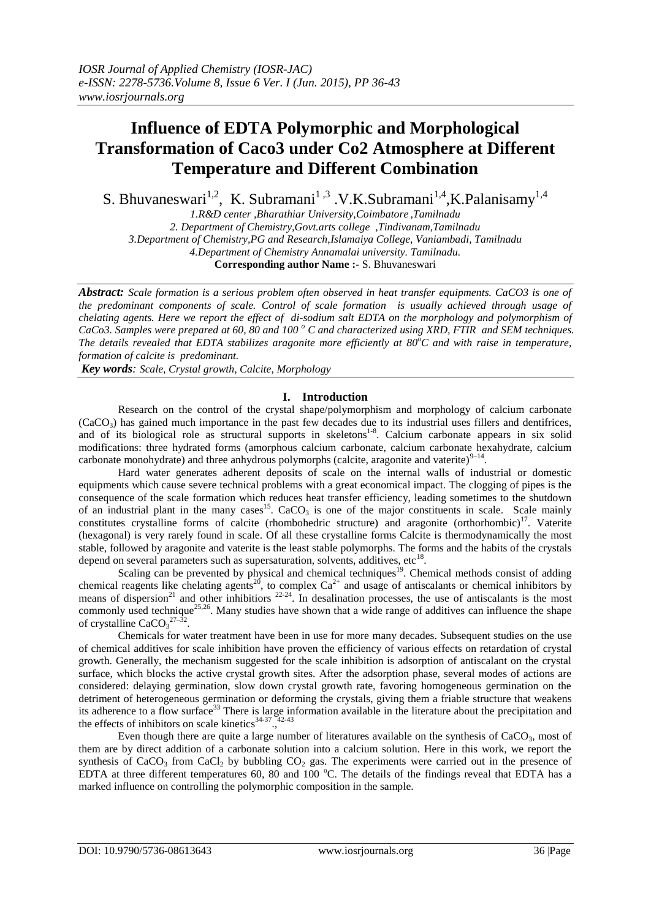# **Influence of EDTA Polymorphic and Morphological Transformation of Caco3 under Co2 Atmosphere at Different Temperature and Different Combination**

S. Bhuvaneswari<sup>1,2</sup>, K. Subramani<sup>1,3</sup> .V.K.Subramani<sup>1,4</sup>,K.Palanisamy<sup>1,4</sup>

*1.R&D center ,Bharathiar University,Coimbatore ,Tamilnadu 2. Department of Chemistry,Govt.arts college ,Tindivanam,Tamilnadu 3.Department of Chemistry,PG and Research,Islamaiya College, Vaniambadi, Tamilnadu 4.Department of Chemistry Annamalai university. Tamilnadu.* **Corresponding author Name :-** S. Bhuvaneswari

*Abstract: Scale formation is a serious problem often observed in heat transfer equipments. CaCO3 is one of the predominant components of scale. Control of scale formation is usually achieved through usage of chelating agents. Here we report the effect of di-sodium salt EDTA on the morphology and polymorphism of CaCo3. Samples were prepared at 60, 80 and 100 <sup>o</sup> C and characterized using XRD, FTIR and SEM techniques. The details revealed that EDTA stabilizes aragonite more efficiently at 80<sup>o</sup>C and with raise in temperature, formation of calcite is predominant.* 

*Key words: Scale, Crystal growth, Calcite, Morphology* 

## **I. Introduction**

Research on the control of the crystal shape/polymorphism and morphology of calcium carbonate  $(CaCO<sub>3</sub>)$  has gained much importance in the past few decades due to its industrial uses fillers and dentifrices, and of its biological role as structural supports in skeletons<sup>1-8</sup>. Calcium carbonate appears in six solid modifications: three hydrated forms (amorphous calcium carbonate, calcium carbonate hexahydrate, calcium carbonate monohydrate) and three anhydrous polymorphs (calcite, aragonite and vaterite) $^{9-14}$ .

Hard water generates adherent deposits of scale on the internal walls of industrial or domestic equipments which cause severe technical problems with a great economical impact. The clogging of pipes is the consequence of the scale formation which reduces heat transfer efficiency, leading sometimes to the shutdown of an industrial plant in the many cases<sup>15</sup>. CaCO<sub>3</sub> is one of the major constituents in scale. Scale mainly constitutes crystalline forms of calcite (rhombohedric structure) and aragonite (orthorhombic)<sup>17</sup>. Vaterite (hexagonal) is very rarely found in scale. Of all these crystalline forms Calcite is thermodynamically the most stable, followed by aragonite and vaterite is the least stable polymorphs. The forms and the habits of the crystals depend on several parameters such as supersaturation, solvents, additives, etc $^{18}$ .

Scaling can be prevented by physical and chemical techniques<sup>19</sup>. Chemical methods consist of adding chemical reagents like chelating agents<sup>20</sup>, to complex  $Ca^{2+}$  and usage of antiscalants or chemical inhibitors by means of dispersion<sup>21</sup> and other inhibitiors  $22-24$ . In desalination processes, the use of antiscalants is the most commonly used technique<sup>25,26</sup>. Many studies have shown that a wide range of additives can influence the shape of crystalline  $CaCO<sub>3</sub><sup>27-32</sup>$ .

Chemicals for water treatment have been in use for more many decades. Subsequent studies on the use of chemical additives for scale inhibition have proven the efficiency of various effects on retardation of crystal growth. Generally, the mechanism suggested for the scale inhibition is adsorption of antiscalant on the crystal surface, which blocks the active crystal growth sites. After the adsorption phase, several modes of actions are considered: delaying germination, slow down crystal growth rate, favoring homogeneous germination on the detriment of heterogeneous germination or deforming the crystals, giving them a friable structure that weakens its adherence to a flow surface<sup>33</sup> There is large information available in the literature about the precipitation and the offects of inhibitors on soals kinetics<sup>34-37</sup> <sup>42-43</sup> the effects of inhibitors on scale kinetics<sup>34-37</sup>.

Even though there are quite a large number of literatures available on the synthesis of  $CaCO<sub>3</sub>$ , most of them are by direct addition of a carbonate solution into a calcium solution. Here in this work, we report the synthesis of  $CaCO<sub>3</sub>$  from  $CaCl<sub>2</sub>$  by bubbling  $CO<sub>2</sub>$  gas. The experiments were carried out in the presence of EDTA at three different temperatures 60, 80 and 100 °C. The details of the findings reveal that EDTA has a marked influence on controlling the polymorphic composition in the sample.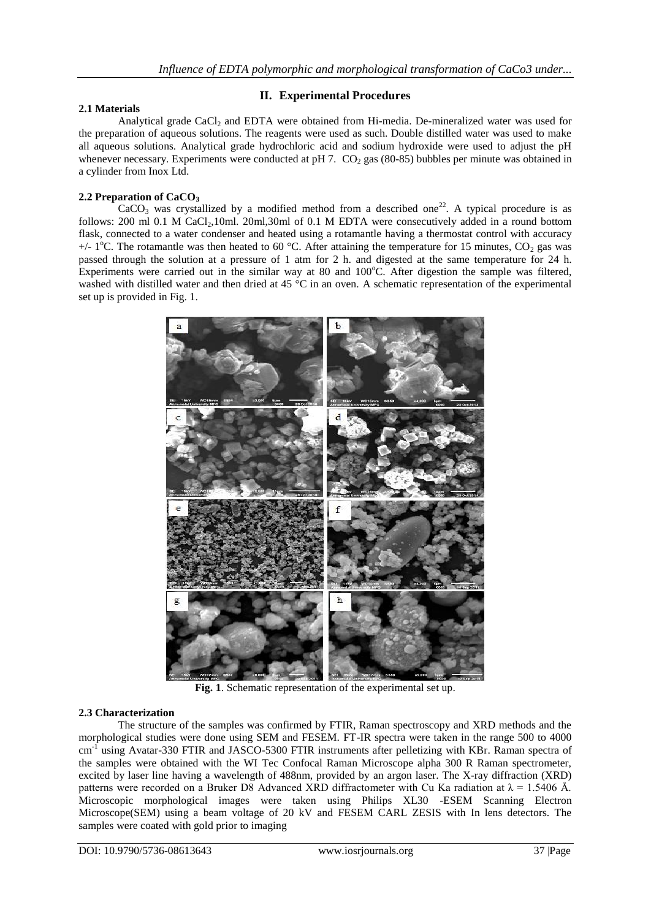# **II. Experimental Procedures**

## **2.1 Materials**

Analytical grade CaCl<sub>2</sub> and EDTA were obtained from Hi-media. De-mineralized water was used for the preparation of aqueous solutions. The reagents were used as such. Double distilled water was used to make all aqueous solutions. Analytical grade hydrochloric acid and sodium hydroxide were used to adjust the pH whenever necessary. Experiments were conducted at pH 7. CO<sub>2</sub> gas (80-85) bubbles per minute was obtained in a cylinder from Inox Ltd.

## **2.2 Preparation of CaCO<sup>3</sup>**

 $CaCO<sub>3</sub>$  was crystallized by a modified method from a described one<sup>22</sup>. A typical procedure is as follows: 200 ml 0.1 M CaCl<sub>2</sub>,10ml. 20ml,30ml of 0.1 M EDTA were consecutively added in a round bottom flask, connected to a water condenser and heated using a rotamantle having a thermostat control with accuracy +/- 1<sup>o</sup>C. The rotamantle was then heated to 60 <sup>o</sup>C. After attaining the temperature for 15 minutes, CO<sub>2</sub> gas was passed through the solution at a pressure of 1 atm for 2 h. and digested at the same temperature for 24 h. Experiments were carried out in the similar way at 80 and  $100^{\circ}$ C. After digestion the sample was filtered, washed with distilled water and then dried at 45 °C in an oven. A schematic representation of the experimental set up is provided in Fig. 1.



**Fig. 1**. Schematic representation of the experimental set up.

#### **2.3 Characterization**

The structure of the samples was confirmed by FTIR, Raman spectroscopy and XRD methods and the morphological studies were done using SEM and FESEM. FT-IR spectra were taken in the range 500 to 4000 cm<sup>-f</sup> using Avatar-330 FTIR and JASCO-5300 FTIR instruments after pelletizing with KBr. Raman spectra of the samples were obtained with the WI Tec Confocal Raman Microscope alpha 300 R Raman spectrometer, excited by laser line having a wavelength of 488nm, provided by an argon laser. The X-ray diffraction (XRD) patterns were recorded on a Bruker D8 Advanced XRD diffractometer with Cu Ka radiation at  $\lambda = 1.5406$  Å. Microscopic morphological images were taken using Philips XL30 -ESEM Scanning Electron Microscope(SEM) using a beam voltage of 20 kV and FESEM CARL ZESIS with In lens detectors. The samples were coated with gold prior to imaging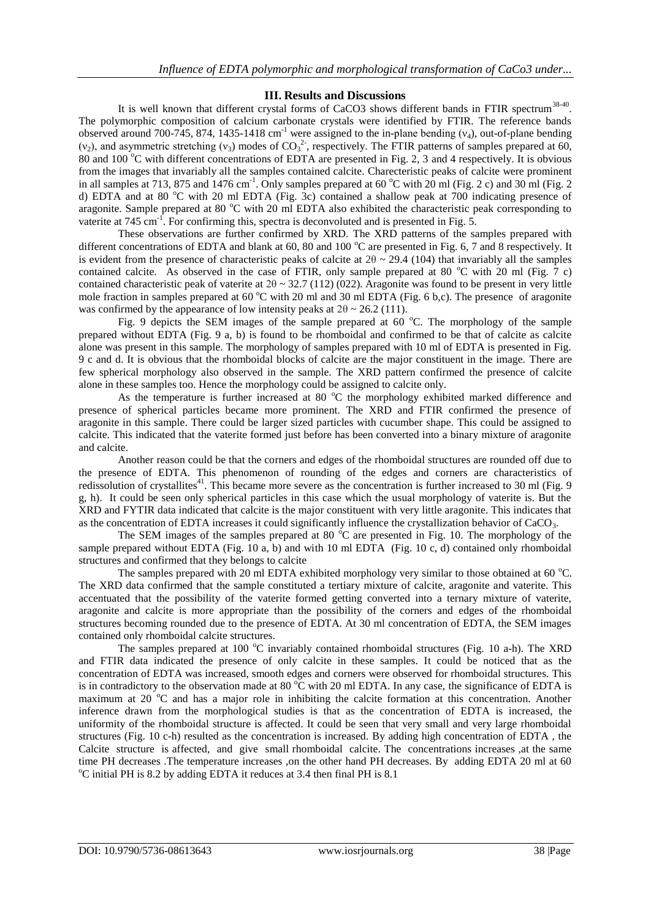## **III. Results and Discussions**

It is well known that different crystal forms of CaCO3 shows different bands in FTIR spectrum<sup>38-40</sup>. The polymorphic composition of calcium carbonate crystals were identified by FTIR. The reference bands observed around 700-745, 874, 1435-1418 cm<sup>-1</sup> were assigned to the in-plane bending ( $v_4$ ), out-of-plane bending ( $v_2$ ), and asymmetric stretching ( $v_3$ ) modes of CO<sub>3</sub><sup>2</sup>, respectively. The FTIR patterns of samples prepared at 60, 80 and 100  $^{\circ}$ C with different concentrations of EDTA are presented in Fig. 2, 3 and 4 respectively. It is obvious from the images that invariably all the samples contained calcite. Charecteristic peaks of calcite were prominent in all samples at 713, 875 and  $1476 \text{ cm}^{-1}$ . Only samples prepared at 60 °C with 20 ml (Fig. 2 c) and 30 ml (Fig. 2 d) EDTA and at 80 °C with 20 ml EDTA (Fig. 3c) contained a shallow peak at 700 indicating presence of aragonite. Sample prepared at 80 °C with 20 ml EDTA also exhibited the characteristic peak corresponding to vaterite at 745 cm<sup>-1</sup>. For confirming this, spectra is deconvoluted and is presented in Fig. 5.

These observations are further confirmed by XRD. The XRD patterns of the samples prepared with different concentrations of EDTA and blank at 60, 80 and 100 °C are presented in Fig. 6, 7 and 8 respectively. It is evident from the presence of characteristic peaks of calcite at  $2\theta \sim 29.4$  (104) that invariably all the samples contained calcite. As observed in the case of FTIR, only sample prepared at 80  $^{\circ}$ C with 20 ml (Fig. 7 c) contained characteristic peak of vaterite at  $2\theta \sim 32.7$  (112) (022). Aragonite was found to be present in very little mole fraction in samples prepared at 60  $^{\circ}$ C with 20 ml and 30 ml EDTA (Fig. 6 b,c). The presence of aragonite was confirmed by the appearance of low intensity peaks at  $2\theta \sim 26.2$  (111).

Fig. 9 depicts the SEM images of the sample prepared at 60  $^{\circ}$ C. The morphology of the sample prepared without EDTA (Fig. 9 a, b) is found to be rhomboidal and confirmed to be that of calcite as calcite alone was present in this sample. The morphology of samples prepared with 10 ml of EDTA is presented in Fig. 9 c and d. It is obvious that the rhomboidal blocks of calcite are the major constituent in the image. There are few spherical morphology also observed in the sample. The XRD pattern confirmed the presence of calcite alone in these samples too. Hence the morphology could be assigned to calcite only.

As the temperature is further increased at 80  $^{\circ}$ C the morphology exhibited marked difference and presence of spherical particles became more prominent. The XRD and FTIR confirmed the presence of aragonite in this sample. There could be larger sized particles with cucumber shape. This could be assigned to calcite. This indicated that the vaterite formed just before has been converted into a binary mixture of aragonite and calcite.

Another reason could be that the corners and edges of the rhomboidal structures are rounded off due to the presence of EDTA. This phenomenon of rounding of the edges and corners are characteristics of redissolution of crystallites<sup>41</sup>. This became more severe as the concentration is further increased to 30 ml (Fig. 9 g, h). It could be seen only spherical particles in this case which the usual morphology of vaterite is. But the XRD and FYTIR data indicated that calcite is the major constituent with very little aragonite. This indicates that as the concentration of EDTA increases it could significantly influence the crystallization behavior of CaCO3.

The SEM images of the samples prepared at 80  $^{\circ}$ C are presented in Fig. 10. The morphology of the sample prepared without EDTA (Fig. 10 a, b) and with 10 ml EDTA (Fig. 10 c, d) contained only rhomboidal structures and confirmed that they belongs to calcite

The samples prepared with 20 ml EDTA exhibited morphology very similar to those obtained at 60  $^{\circ}$ C. The XRD data confirmed that the sample constituted a tertiary mixture of calcite, aragonite and vaterite. This accentuated that the possibility of the vaterite formed getting converted into a ternary mixture of vaterite, aragonite and calcite is more appropriate than the possibility of the corners and edges of the rhomboidal structures becoming rounded due to the presence of EDTA. At 30 ml concentration of EDTA, the SEM images contained only rhomboidal calcite structures.

The samples prepared at 100  $^{\circ}$ C invariably contained rhomboidal structures (Fig. 10 a-h). The XRD and FTIR data indicated the presence of only calcite in these samples. It could be noticed that as the concentration of EDTA was increased, smooth edges and corners were observed for rhomboidal structures. This is in contradictory to the observation made at 80  $^{\circ}$ C with 20 ml EDTA. In any case, the significance of EDTA is maximum at 20  $\degree$ C and has a major role in inhibiting the calcite formation at this concentration. Another inference drawn from the morphological studies is that as the concentration of EDTA is increased, the uniformity of the rhomboidal structure is affected. It could be seen that very small and very large rhomboidal structures (Fig. 10 c-h) resulted as the concentration is increased. By adding high concentration of EDTA , the Calcite structure is affected, and give small rhomboidal calcite. The concentrations increases ,at the same time PH decreases .The temperature increases ,on the other hand PH decreases. By adding EDTA 20 ml at 60 <sup>o</sup>C initial PH is 8.2 by adding EDTA it reduces at 3.4 then final PH is 8.1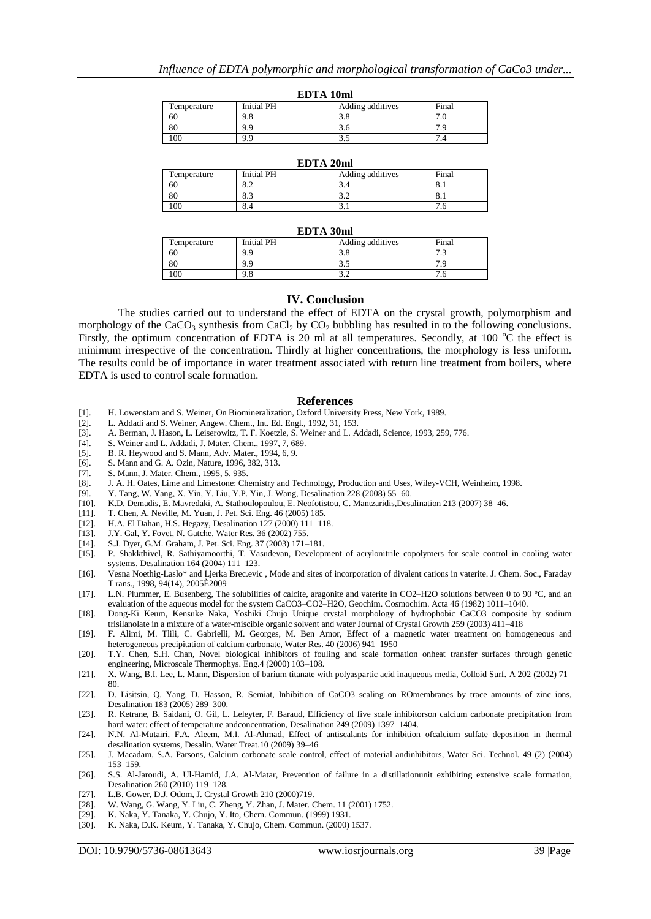| ерта тани   |            |                  |       |  |  |  |
|-------------|------------|------------------|-------|--|--|--|
| Temperature | Initial PH | Adding additives | Final |  |  |  |
| 60          | 9.8        | .ათ              |       |  |  |  |
| 80          | 9.9        | J.U              |       |  |  |  |
| 100         | 9.9        | ل. د             |       |  |  |  |

**EDTA 10ml**

| EDTA 20ml   |                   |                  |       |  |
|-------------|-------------------|------------------|-------|--|
| Temperature | <b>Initial PH</b> | Adding additives | Final |  |
| 60          |                   |                  | 0.1   |  |
| 80          | 8.3               | ے ۔ ر            | ð. I  |  |
| 100         | 8.4               | .                |       |  |

#### **EDTA 30ml**

| Temperature | <b>Initial PH</b> | Adding additives | Final                 |  |  |  |
|-------------|-------------------|------------------|-----------------------|--|--|--|
| 60          | 9.9               | ں.ر              | $\overline{ }$<br>ر., |  |  |  |
| 80          | 9.9               | ر. ر             |                       |  |  |  |
| .00         | 9.8               | .                | 7.0                   |  |  |  |

#### **IV. Conclusion**

The studies carried out to understand the effect of EDTA on the crystal growth, polymorphism and morphology of the CaCO<sub>3</sub> synthesis from CaCl<sub>2</sub> by CO<sub>2</sub> bubbling has resulted in to the following conclusions. Firstly, the optimum concentration of EDTA is 20 ml at all temperatures. Secondly, at 100  $^{\circ}$ C the effect is minimum irrespective of the concentration. Thirdly at higher concentrations, the morphology is less uniform. The results could be of importance in water treatment associated with return line treatment from boilers, where EDTA is used to control scale formation.

#### **References**

- [1]. H. Lowenstam and S. Weiner, On Biomineralization, Oxford University Press, New York, 1989.
- [2]. L. Addadi and S. Weiner, Angew. Chem., Int. Ed. Engl., 1992, 31, 153.
- [3]. A. Berman, J. Hason, L. Leiserowitz, T. F. Koetzle, S. Weiner and L. Addadi, Science, 1993, 259, 776.
- [4]. S. Weiner and L. Addadi, J. Mater. Chem., 1997, 7, 689.<br>[5]. B. R. Heywood and S. Mann, Adv. Mater., 1994, 6, 9.
- [5]. B. R. Heywood and S. Mann, Adv. Mater., 1994, 6, 9.
- [6]. S. Mann and G. A. Ozin, Nature, 1996, 382, 313.
- [7]. S. Mann, J. Mater. Chem., 1995, 5, 935.<br>[8]. J. A. H. Oates, Lime and Limestone: Ch
- [8]. J. A. H. Oates, Lime and Limestone: Chemistry and Technology, Production and Uses, Wiley-VCH, Weinheim, 1998.<br>[9]. Y. Tang, W. Yang, X. Yin, Y. Liu, Y.P. Yin, J. Wang, Desalination 228 (2008) 55–60.
- [9]. Y. Tang, W. Yang, X. Yin, Y. Liu, Y.P. Yin, J. Wang, Desalination 228 (2008) 55–60.
- [10]. K.D. Demadis, E. Mavredaki, A. Stathoulopoulou, E. Neofotistou, C. Mantzaridis,Desalination 213 (2007) 38–46.
- [11]. T. Chen, A. Neville, M. Yuan, J. Pet. Sci. Eng. 46 (2005) 185.
- [12]. H.A. El Dahan, H.S. Hegazy, Desalination 127 (2000) 111–118.<br>[13]. J.Y. Gal, Y. Fovet, N. Gatche, Water Res. 36 (2002) 755.
- J.Y. Gal, Y. Fovet, N. Gatche, Water Res. 36 (2002) 755.
- 
- [14]. S.J. Dyer, G.M. Graham, J. Pet. Sci. Eng. 37 (2003) 171–181. [15]. P. Shakkthivel, R. Sathiyamoorthi, T. Vasudevan, Development of acrylonitrile copolymers for scale control in cooling water systems, Desalination 164 (2004) 111–123.
- [16]. Vesna Noethig-Laslo\* and Ljerka Brec.evic , Mode and sites of incorporation of divalent cations in vaterite. J. Chem. Soc., Faraday T rans., 1998, 94(14), 2005È2009
- [17]. L.N. Plummer, E. Busenberg, The solubilities of calcite, aragonite and vaterite in CO2–H2O solutions between 0 to 90 °C, and an evaluation of the aqueous model for the system CaCO3–CO2–H2O, Geochim. Cosmochim. Acta 46 (1982) 1011–1040.
- [18]. Dong-Ki Keum, Kensuke Naka, Yoshiki Chujo Unique crystal morphology of hydrophobic CaCO3 composite by sodium trisilanolate in a mixture of a water-miscible organic solvent and water Journal of Crystal Growth 259 (2003) 411–418
- [19]. F. Alimi, M. Tlili, C. Gabrielli, M. Georges, M. Ben Amor, Effect of a magnetic water treatment on homogeneous and heterogeneous precipitation of calcium carbonate, Water Res. 40 (2006) 941–1950
- [20]. T.Y. Chen, S.H. Chan, Novel biological inhibitors of fouling and scale formation onheat transfer surfaces through genetic engineering, Microscale Thermophys. Eng.4 (2000) 103–108.
- [21]. X. Wang, B.I. Lee, L. Mann, Dispersion of barium titanate with polyaspartic acid inaqueous media, Colloid Surf. A 202 (2002) 71– 80.
- [22]. D. Lisitsin, Q. Yang, D. Hasson, R. Semiat, Inhibition of CaCO3 scaling on ROmembranes by trace amounts of zinc ions, Desalination 183 (2005) 289–300.
- [23]. R. Ketrane, B. Saidani, O. Gil, L. Leleyter, F. Baraud, Efficiency of five scale inhibitorson calcium carbonate precipitation from hard water: effect of temperature andconcentration, Desalination 249 (2009) 1397–1404.
- [24]. N.N. Al-Mutairi, F.A. Aleem, M.I. Al-Ahmad, Effect of antiscalants for inhibition ofcalcium sulfate deposition in thermal desalination systems, Desalin. Water Treat.10 (2009) 39–46
- [25]. J. Macadam, S.A. Parsons, Calcium carbonate scale control, effect of material andinhibitors, Water Sci. Technol. 49 (2) (2004) 153–159.
- [26]. S.S. Al-Jaroudi, A. Ul-Hamid, J.A. Al-Matar, Prevention of failure in a distillationunit exhibiting extensive scale formation, Desalination 260 (2010) 119–128.
- [27]. L.B. Gower, D.J. Odom, J. Crystal Growth 210 (2000)719.
- [28]. W. Wang, G. Wang, Y. Liu, C. Zheng, Y. Zhan, J. Mater. Chem. 11 (2001) 1752.
- [29]. K. Naka, Y. Tanaka, Y. Chujo, Y. Ito, Chem. Commun. (1999) 1931.
- [30]. K. Naka, D.K. Keum, Y. Tanaka, Y. Chujo, Chem. Commun. (2000) 1537.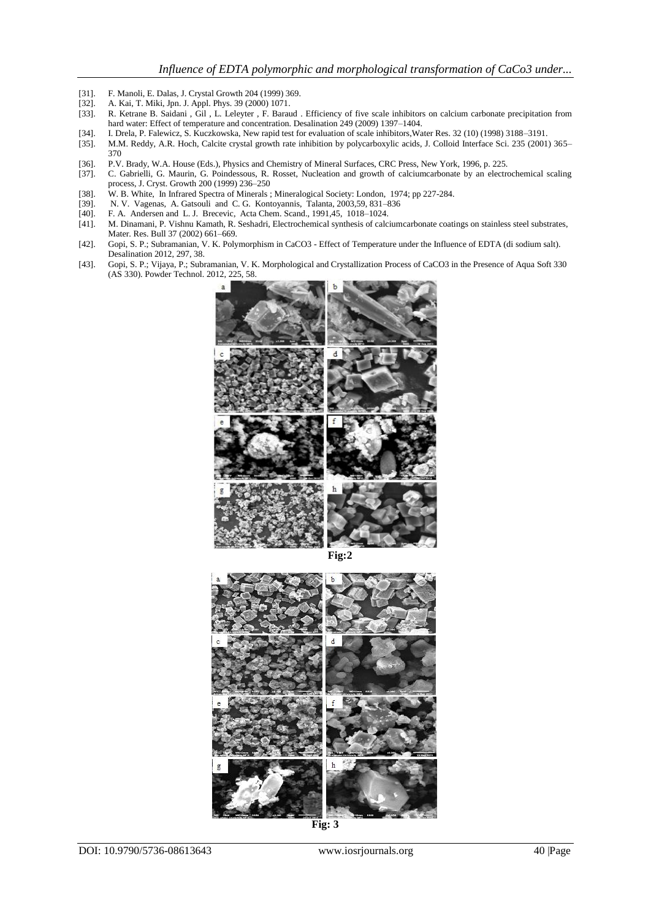- [31]. F. Manoli, E. Dalas, J. Crystal Growth 204 (1999) 369.<br>[32]. A. Kai, T. Miki, Jpn. J. Appl. Phys. 39 (2000) 1071.
- [32]. A. Kai, T. Miki, Jpn. J. Appl. Phys. 39 (2000) 1071.<br>[33]. R. Ketrane B. Saidani, Gil, L. Leleyter, F. Barau
- [33]. R. Ketrane B. Saidani , Gil , L. Leleyter , F. Baraud . Efficiency of five scale inhibitors on calcium carbonate precipitation from hard water: Effect of temperature and concentration. Desalination 249 (2009) 1397–1404.
- 
- [34]. I. Drela, P. Falewicz, S. Kuczkowska, New rapid test for evaluation of scale inhibitors,Water Res. 32 (10) (1998) 3188–3191. [35]. M.M. Reddy, A.R. Hoch, Calcite crystal growth rate inhibition by polycarboxylic acids, J. Colloid Interface Sci. 235 (2001) 365– 370
- 
- [36]. P.V. Brady, W.A. House (Eds.), Physics and Chemistry of Mineral Surfaces, CRC Press, New York, 1996, p. 225. [37]. C. Gabrielli, G. Maurin, G. Poindessous, R. Rosset, Nucleation and growth of calciumcarbonate by an e [37]. C. Gabrielli, G. Maurin, G. Poindessous, R. Rosset, Nucleation and growth of calciumcarbonate by an electrochemical scaling process, J. Cryst. Growth 200 (1999) 236–250
- [38]. W. B. White, In Infrared Spectra of Minerals ; Mineralogical Society: London, 1974; pp 227-284.
- 
- [39]. N. V. Vagenas, A. Gatsouli and C. G. Kontoyannis, Talanta, 2003,59, 831–836<br>[40]. F. A. Andersen and L. J. Brecevic, Acta Chem. Scand., 1991,45, 1018–1024. [40]. F. A. Andersen and L. J. Brecevic, Acta Chem. Scand., 1991,45, 1018–1024.
- [41]. M. Dinamani, P. Vishnu Kamath, R. Seshadri, Electrochemical synthesis of calciumcarbonate coatings on stainless steel substrates, Mater. Res. Bull 37 (2002) 661–669.
- [42]. Gopi, S. P.; Subramanian, V. K. Polymorphism in CaCO3 Effect of Temperature under the Influence of EDTA (di sodium salt). Desalination 2012, 297, 38.
- [43]. Gopi, S. P.; Vijaya, P.; Subramanian, V. K. Morphological and Crystallization Process of CaCO3 in the Presence of Aqua Soft 330 (AS 330). Powder Technol. 2012, 225, 58.



**Fig:2**



**Fig: 3**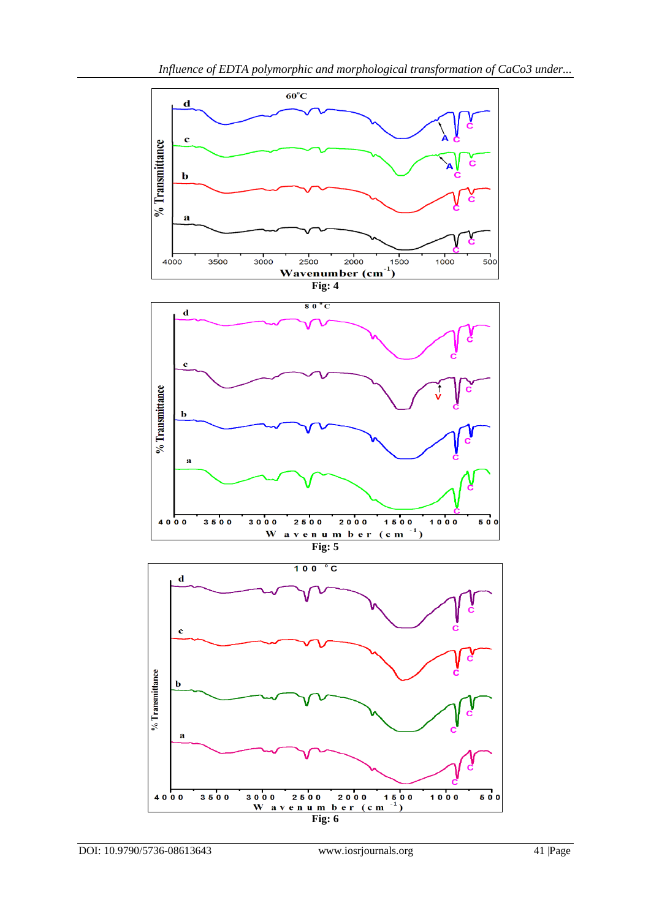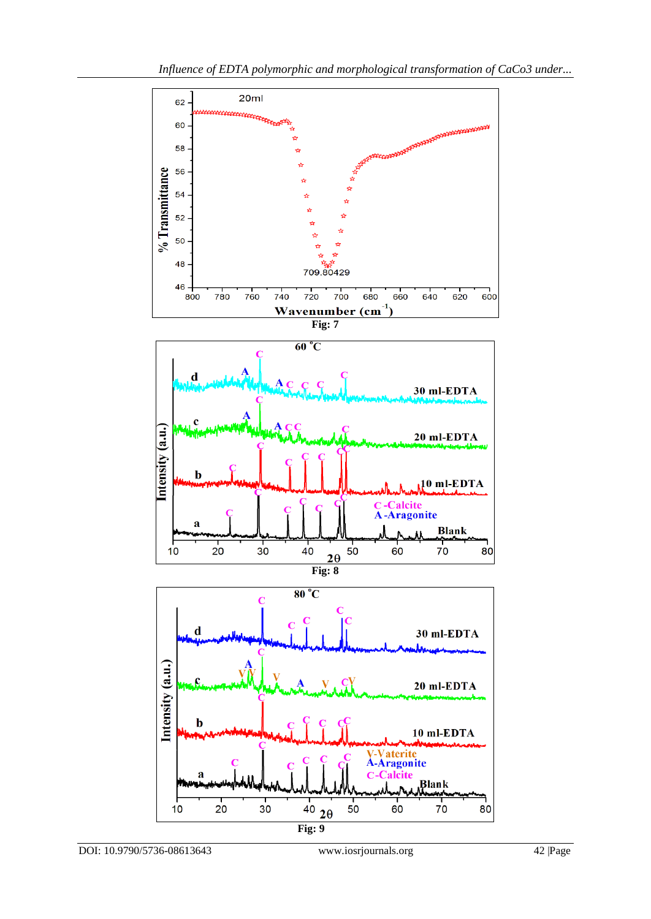